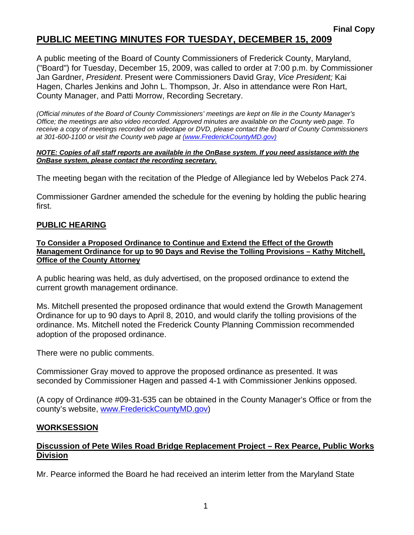# **PUBLIC MEETING MINUTES FOR TUESDAY, DECEMBER 15, 2009**

A public meeting of the Board of County Commissioners of Frederick County, Maryland, ("Board") for Tuesday, December 15, 2009, was called to order at 7:00 p.m. by Commissioner Jan Gardner, *President*. Present were Commissioners David Gray, *Vice President;* Kai Hagen, Charles Jenkins and John L. Thompson, Jr. Also in attendance were Ron Hart, County Manager, and Patti Morrow, Recording Secretary.

*(Official minutes of the Board of County Commissioners' meetings are kept on file in the County Manager's Office; the meetings are also video recorded. Approved minutes are available on the County web page. To receive a copy of meetings recorded on videotape or DVD, please contact the Board of County Commissioners at 301-600-1100 or visit the County web page at (www.FrederickCountyMD.gov)*

#### *NOTE: Copies of all staff reports are available in the OnBase system. If you need assistance with the OnBase system, please contact the recording secretary.*

The meeting began with the recitation of the Pledge of Allegiance led by Webelos Pack 274.

Commissioner Gardner amended the schedule for the evening by holding the public hearing first.

## **PUBLIC HEARING**

**To Consider a Proposed Ordinance to Continue and Extend the Effect of the Growth Management Ordinance for up to 90 Days and Revise the Tolling Provisions – Kathy Mitchell, Office of the County Attorney**

A public hearing was held, as duly advertised, on the proposed ordinance to extend the current growth management ordinance.

Ms. Mitchell presented the proposed ordinance that would extend the Growth Management Ordinance for up to 90 days to April 8, 2010, and would clarify the tolling provisions of the ordinance. Ms. Mitchell noted the Frederick County Planning Commission recommended adoption of the proposed ordinance.

There were no public comments.

Commissioner Gray moved to approve the proposed ordinance as presented. It was seconded by Commissioner Hagen and passed 4-1 with Commissioner Jenkins opposed.

(A copy of Ordinance #09-31-535 can be obtained in the County Manager's Office or from the county's website, [www.FrederickCountyMD.gov](http://www.frederickcountymd.gov/))

### **WORKSESSION**

## **Discussion of Pete Wiles Road Bridge Replacement Project – Rex Pearce, Public Works Division**

Mr. Pearce informed the Board he had received an interim letter from the Maryland State